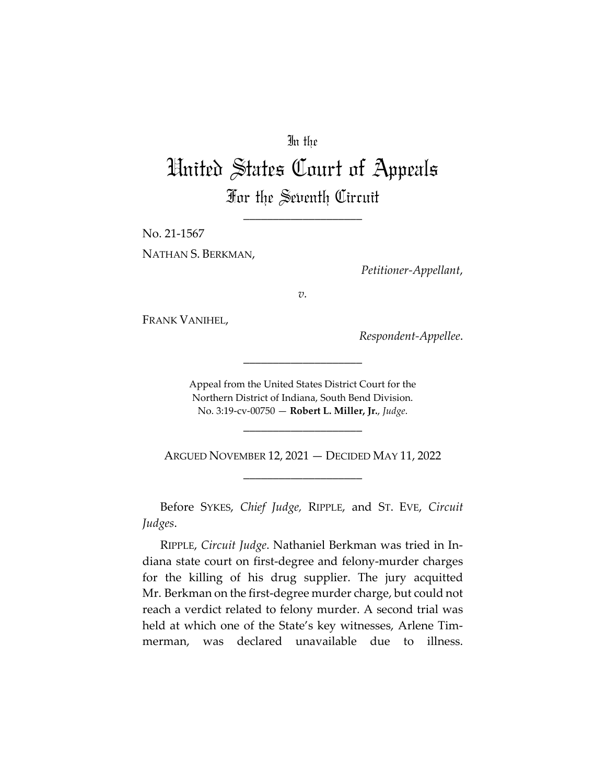# In the

# United States Court of Appeals For the Seventh Circuit

\_\_\_\_\_\_\_\_\_\_\_\_\_\_\_\_\_\_\_\_

No. 21-1567

NATHAN S. BERKMAN,

*Petitioner-Appellant*,

*v.*

FRANK VANIHEL,

*Respondent-Appellee*.

Appeal from the United States District Court for the Northern District of Indiana, South Bend Division. No. 3:19-cv-00750 — **Robert L. Miller, Jr.**, *Judge*.

\_\_\_\_\_\_\_\_\_\_\_\_\_\_\_\_\_\_\_\_

\_\_\_\_\_\_\_\_\_\_\_\_\_\_\_\_\_\_\_\_

ARGUED NOVEMBER 12, 2021 — DECIDED MAY 11, 2022 \_\_\_\_\_\_\_\_\_\_\_\_\_\_\_\_\_\_\_\_

Before SYKES, *Chief Judge,* RIPPLE, and ST. EVE, *Circuit Judges*.

RIPPLE, *Circuit Judge*. Nathaniel Berkman was tried in Indiana state court on first-degree and felony-murder charges for the killing of his drug supplier. The jury acquitted Mr. Berkman on the first-degree murder charge, but could not reach a verdict related to felony murder. A second trial was held at which one of the State's key witnesses, Arlene Timmerman, was declared unavailable due to illness.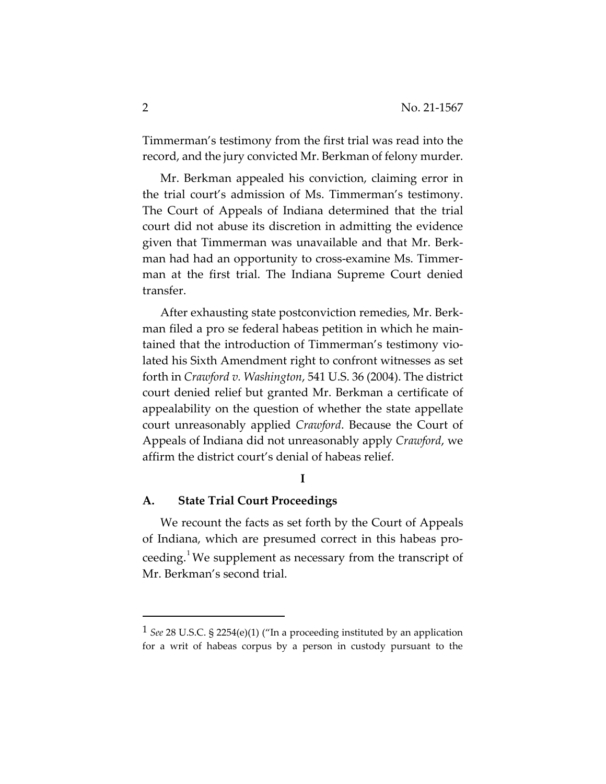Timmerman's testimony from the first trial was read into the record, and the jury convicted Mr. Berkman of felony murder.

Mr. Berkman appealed his conviction, claiming error in the trial court's admission of Ms. Timmerman's testimony. The Court of Appeals of Indiana determined that the trial court did not abuse its discretion in admitting the evidence given that Timmerman was unavailable and that Mr. Berkman had had an opportunity to cross-examine Ms. Timmerman at the first trial. The Indiana Supreme Court denied transfer.

After exhausting state postconviction remedies, Mr. Berkman filed a pro se federal habeas petition in which he maintained that the introduction of Timmerman's testimony violated his Sixth Amendment right to confront witnesses as set forth in *Crawford v. Washington*, 541 U.S. 36 (2004). The district court denied relief but granted Mr. Berkman a certificate of appealability on the question of whether the state appellate court unreasonably applied *Crawford*. Because the Court of Appeals of Indiana did not unreasonably apply *Crawford*, we affirm the district court's denial of habeas relief.

## **I**

#### **A. State Trial Court Proceedings**

We recount the facts as set forth by the Court of Appeals of Indiana, which are presumed correct in this habeas pro-ceeding.<sup>[1](#page-1-0)</sup> We supplement as necessary from the transcript of Mr. Berkman's second trial.

<span id="page-1-0"></span><sup>1</sup> *See* 28 U.S.C. § 2254(e)(1) ("In a proceeding instituted by an application for a writ of habeas corpus by a person in custody pursuant to the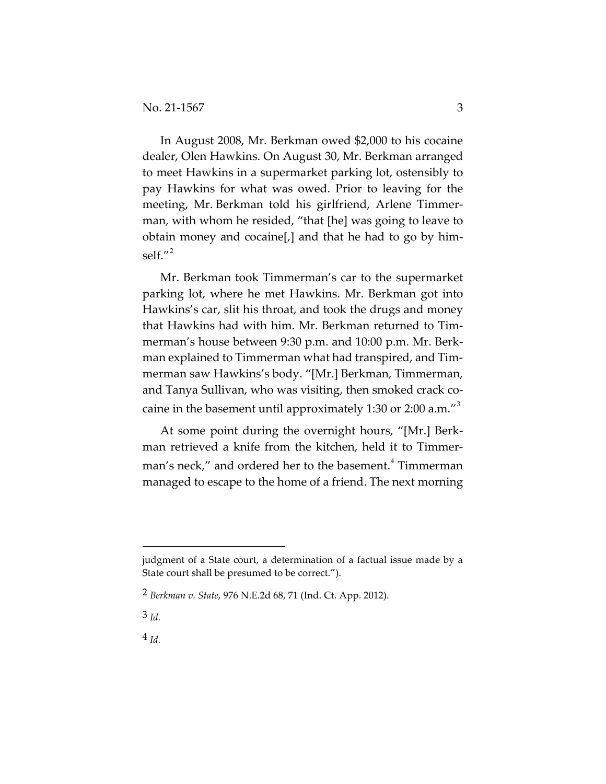In August 2008, Mr. Berkman owed \$2,000 to his cocaine dealer, Olen Hawkins. On August 30, Mr. Berkman arranged to meet Hawkins in a supermarket parking lot, ostensibly to pay Hawkins for what was owed. Prior to leaving for the meeting, Mr. Berkman told his girlfriend, Arlene Timmerman, with whom he resided, "that [he] was going to leave to obtain money and cocaine[,] and that he had to go by him-self<sup>"[2](#page-2-0)</sup>

Mr. Berkman took Timmerman's car to the supermarket parking lot, where he met Hawkins. Mr. Berkman got into Hawkins's car, slit his throat, and took the drugs and money that Hawkins had with him. Mr. Berkman returned to Timmerman's house between 9:30 p.m. and 10:00 p.m. Mr. Berkman explained to Timmerman what had transpired, and Timmerman saw Hawkins's body. "[Mr.] Berkman, Timmerman, and Tanya Sullivan, who was visiting, then smoked crack co-caine in the basement until approximately 1:[3](#page-2-1)0 or 2:00 a.m."<sup>3</sup>

At some point during the overnight hours, "[Mr.] Berkman retrieved a knife from the kitchen, held it to Timmer-man's neck," and ordered her to the basement.<sup>[4](#page-2-2)</sup> Timmerman managed to escape to the home of a friend. The next morning

<span id="page-2-1"></span>3 *Id.*

<span id="page-2-2"></span>4 *Id.*

judgment of a State court, a determination of a factual issue made by a State court shall be presumed to be correct.").

<span id="page-2-0"></span><sup>2</sup> *Berkman v. State*, 976 N.E.2d 68, 71 (Ind. Ct. App. 2012).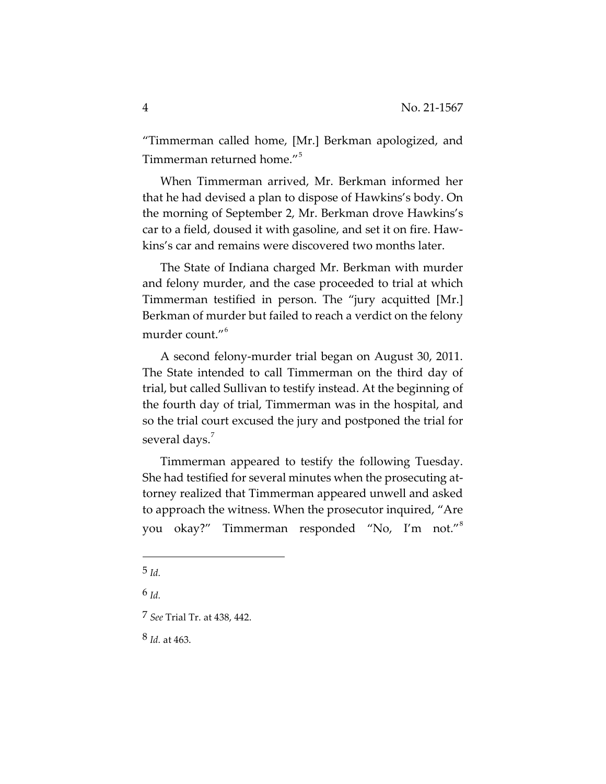"Timmerman called home, [Mr.] Berkman apologized, and Timmerman returned home."<sup>[5](#page-3-0)</sup>

When Timmerman arrived, Mr. Berkman informed her that he had devised a plan to dispose of Hawkins's body. On the morning of September 2, Mr. Berkman drove Hawkins's car to a field, doused it with gasoline, and set it on fire. Hawkins's car and remains were discovered two months later.

The State of Indiana charged Mr. Berkman with murder and felony murder, and the case proceeded to trial at which Timmerman testified in person. The "jury acquitted [Mr.] Berkman of murder but failed to reach a verdict on the felony murder count."<sup>[6](#page-3-1)</sup>

A second felony-murder trial began on August 30, 2011. The State intended to call Timmerman on the third day of trial, but called Sullivan to testify instead. At the beginning of the fourth day of trial, Timmerman was in the hospital, and so the trial court excused the jury and postponed the trial for several days.<sup>[7](#page-3-2)</sup>

Timmerman appeared to testify the following Tuesday. She had testified for several minutes when the prosecuting attorney realized that Timmerman appeared unwell and asked to approach the witness. When the prosecutor inquired, "Are you okay?" Timmerman responded "No, I'm not."[8](#page-3-3)

<span id="page-3-0"></span><sup>5</sup> *Id.*

<span id="page-3-1"></span><sup>6</sup> *Id.*

<span id="page-3-2"></span><sup>7</sup> *See* Trial Tr. at 438, 442.

<span id="page-3-3"></span><sup>8</sup> *Id.* at 463.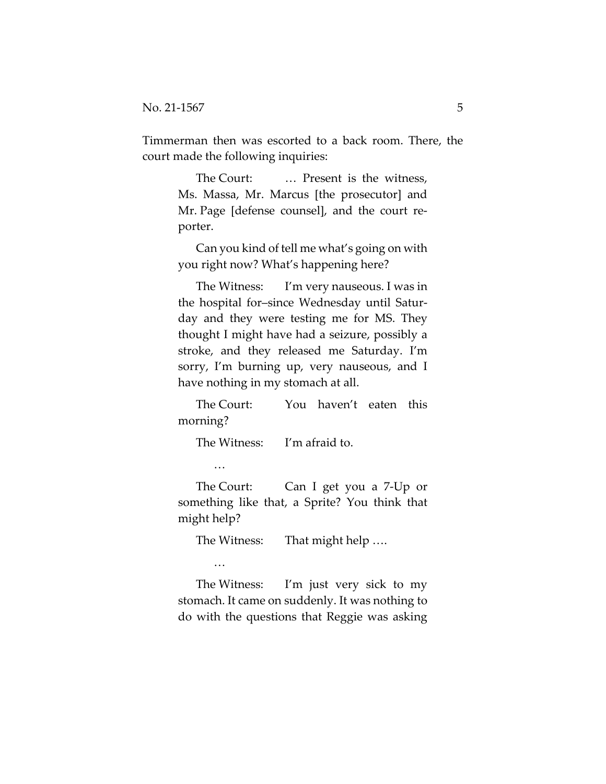Timmerman then was escorted to a back room. There, the court made the following inquiries:

> The Court: ... Present is the witness, Ms. Massa, Mr. Marcus [the prosecutor] and Mr. Page [defense counsel], and the court reporter.

> Can you kind of tell me what's going on with you right now? What's happening here?

> The Witness: I'm very nauseous. I was in the hospital for–since Wednesday until Saturday and they were testing me for MS. They thought I might have had a seizure, possibly a stroke, and they released me Saturday. I'm sorry, I'm burning up, very nauseous, and I have nothing in my stomach at all.

> The Court: You haven't eaten this morning?

The Witness: I'm afraid to.

…

The Court: Can I get you a 7-Up or something like that, a Sprite? You think that might help?

The Witness: That might help ....

…

The Witness: I'm just very sick to my stomach. It came on suddenly. It was nothing to do with the questions that Reggie was asking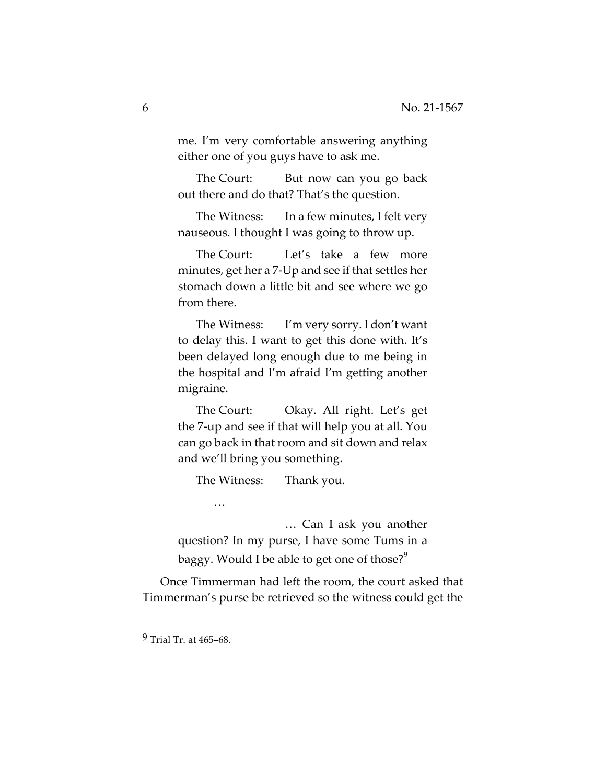me. I'm very comfortable answering anything either one of you guys have to ask me.

The Court: But now can you go back out there and do that? That's the question.

The Witness: In a few minutes, I felt very nauseous. I thought I was going to throw up.

The Court: Let's take a few more minutes, get her a 7-Up and see if that settles her stomach down a little bit and see where we go from there.

The Witness: I'm very sorry. I don't want to delay this. I want to get this done with. It's been delayed long enough due to me being in the hospital and I'm afraid I'm getting another migraine.

The Court: Okay. All right. Let's get the 7-up and see if that will help you at all. You can go back in that room and sit down and relax and we'll bring you something.

The Witness: Thank you.

 … Can I ask you another question? In my purse, I have some Tums in a baggy. Would I be able to get one of those? $\degree$ 

Once Timmerman had left the room, the court asked that Timmerman's purse be retrieved so the witness could get the

…

<span id="page-5-0"></span><sup>9</sup> Trial Tr. at 465–68.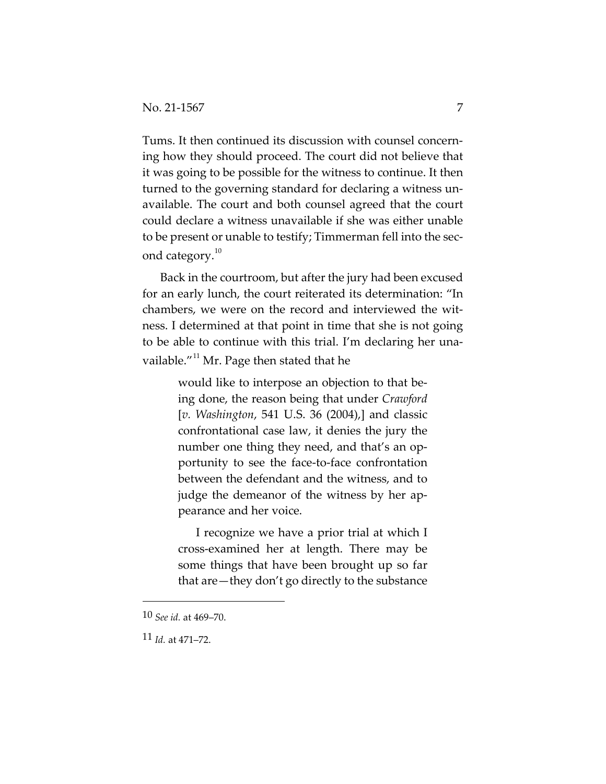Tums. It then continued its discussion with counsel concerning how they should proceed. The court did not believe that it was going to be possible for the witness to continue. It then turned to the governing standard for declaring a witness unavailable. The court and both counsel agreed that the court could declare a witness unavailable if she was either unable to be present or unable to testify; Timmerman fell into the second category. $10^{\circ}$  $10^{\circ}$ 

Back in the courtroom, but after the jury had been excused for an early lunch, the court reiterated its determination: "In chambers, we were on the record and interviewed the witness. I determined at that point in time that she is not going to be able to continue with this trial. I'm declaring her unavailable." $11$  Mr. Page then stated that he

> would like to interpose an objection to that being done, the reason being that under *Crawford*  [*v. Washington*, 541 U.S. 36 (2004),] and classic confrontational case law, it denies the jury the number one thing they need, and that's an opportunity to see the face-to-face confrontation between the defendant and the witness, and to judge the demeanor of the witness by her appearance and her voice.

> I recognize we have a prior trial at which I cross-examined her at length. There may be some things that have been brought up so far that are—they don't go directly to the substance

<span id="page-6-0"></span><sup>10</sup> *See id.* at 469–70.

<span id="page-6-1"></span><sup>11</sup> *Id.* at 471–72.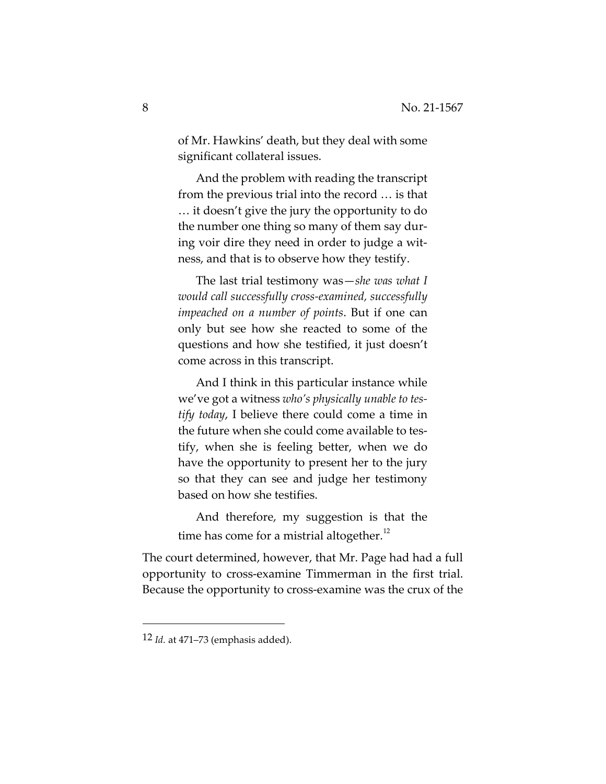of Mr. Hawkins' death, but they deal with some significant collateral issues.

And the problem with reading the transcript from the previous trial into the record … is that … it doesn't give the jury the opportunity to do the number one thing so many of them say during voir dire they need in order to judge a witness, and that is to observe how they testify.

The last trial testimony was—*she was what I would call successfully cross-examined, successfully impeached on a number of points*. But if one can only but see how she reacted to some of the questions and how she testified, it just doesn't come across in this transcript.

And I think in this particular instance while we've got a witness *who's physically unable to testify today*, I believe there could come a time in the future when she could come available to testify, when she is feeling better, when we do have the opportunity to present her to the jury so that they can see and judge her testimony based on how she testifies.

And therefore, my suggestion is that the time has come for a mistrial altogether.<sup>[12](#page-7-0)</sup>

The court determined, however, that Mr. Page had had a full opportunity to cross-examine Timmerman in the first trial. Because the opportunity to cross-examine was the crux of the

<span id="page-7-0"></span><sup>12</sup> *Id.* at 471–73 (emphasis added).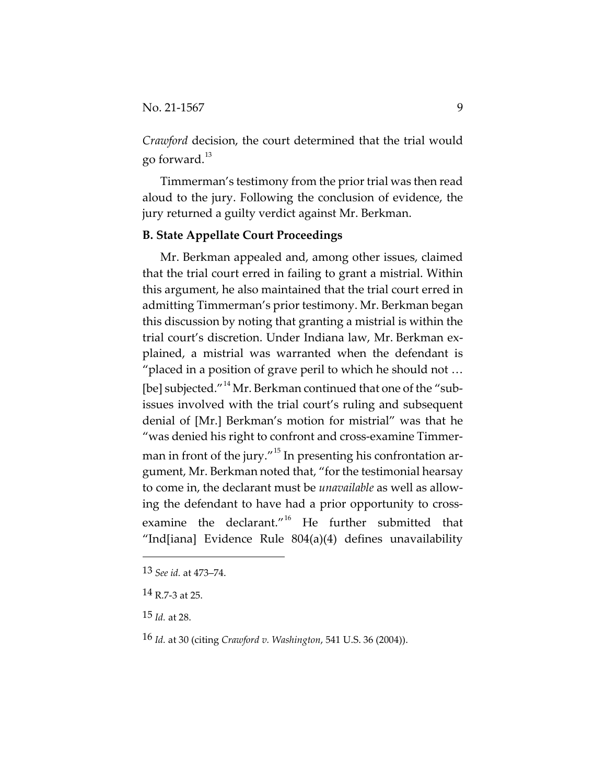*Crawford* decision, the court determined that the trial would go forward.<sup>[13](#page-8-0)</sup>

Timmerman's testimony from the prior trial was then read aloud to the jury. Following the conclusion of evidence, the jury returned a guilty verdict against Mr. Berkman.

#### **B. State Appellate Court Proceedings**

Mr. Berkman appealed and, among other issues, claimed that the trial court erred in failing to grant a mistrial. Within this argument, he also maintained that the trial court erred in admitting Timmerman's prior testimony. Mr. Berkman began this discussion by noting that granting a mistrial is within the trial court's discretion. Under Indiana law, Mr. Berkman explained, a mistrial was warranted when the defendant is "placed in a position of grave peril to which he should not … [be] subjected."<sup>[14](#page-8-1)</sup> Mr. Berkman continued that one of the "subissues involved with the trial court's ruling and subsequent denial of [Mr.] Berkman's motion for mistrial" was that he "was denied his right to confront and cross-examine Timmer-man in front of the jury."<sup>[15](#page-8-2)</sup> In presenting his confrontation argument, Mr. Berkman noted that, "for the testimonial hearsay to come in, the declarant must be *unavailable* as well as allowing the defendant to have had a prior opportunity to cross-examine the declarant."<sup>[16](#page-8-3)</sup> He further submitted that "Ind[iana] Evidence Rule 804(a)(4) defines unavailability

<span id="page-8-0"></span><sup>13</sup> *See id.* at 473–74.

<span id="page-8-1"></span><sup>14</sup> R.7-3 at 25.

<span id="page-8-2"></span><sup>15</sup> *Id.* at 28.

<span id="page-8-3"></span><sup>16</sup> *Id.* at 30 (citing *Crawford v. Washington*, 541 U.S. 36 (2004)).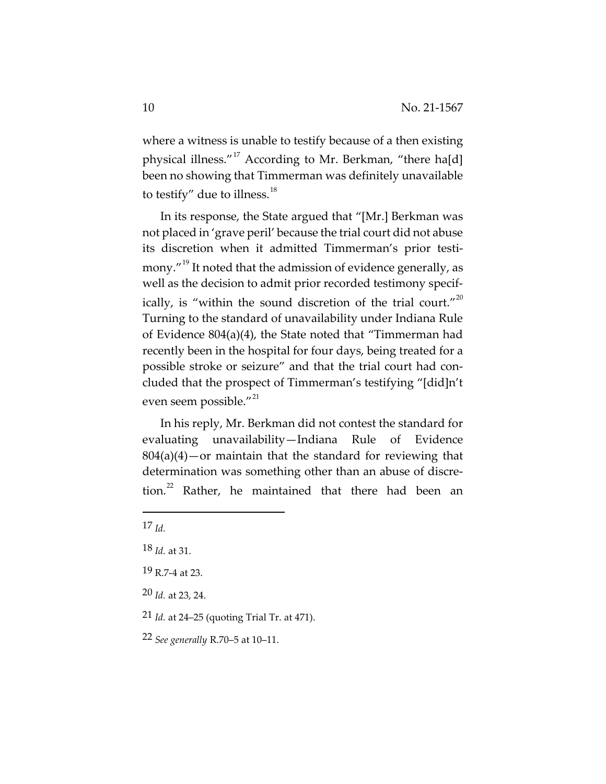where a witness is unable to testify because of a then existing physical illness."<sup>[17](#page-9-0)</sup> According to Mr. Berkman, "there ha[d] been no showing that Timmerman was definitely unavailable to testify" due to illness.<sup>[18](#page-9-1)</sup>

In its response, the State argued that "[Mr.] Berkman was not placed in 'grave peril' because the trial court did not abuse its discretion when it admitted Timmerman's prior testi-mony."<sup>[19](#page-9-2)</sup> It noted that the admission of evidence generally, as well as the decision to admit prior recorded testimony specif-ically, is "within the sound discretion of the trial court."<sup>[20](#page-9-3)</sup> Turning to the standard of unavailability under Indiana Rule of Evidence 804(a)(4), the State noted that "Timmerman had recently been in the hospital for four days, being treated for a possible stroke or seizure" and that the trial court had concluded that the prospect of Timmerman's testifying "[did]n't even seem possible."<sup>[21](#page-9-4)</sup>

In his reply, Mr. Berkman did not contest the standard for evaluating unavailability—Indiana Rule of Evidence  $804(a)(4)$ —or maintain that the standard for reviewing that determination was something other than an abuse of discre-tion.<sup>[22](#page-9-5)</sup> Rather, he maintained that there had been an

- <span id="page-9-3"></span>20 *Id.* at 23, 24.
- <span id="page-9-4"></span>21 *Id.* at 24–25 (quoting Trial Tr. at 471).

<span id="page-9-0"></span><sup>17</sup> *Id.*

<span id="page-9-1"></span><sup>18</sup> *Id.* at 31.

<span id="page-9-2"></span><sup>19</sup> R.7-4 at 23.

<span id="page-9-5"></span><sup>22</sup> *See generally* R.70–5 at 10–11.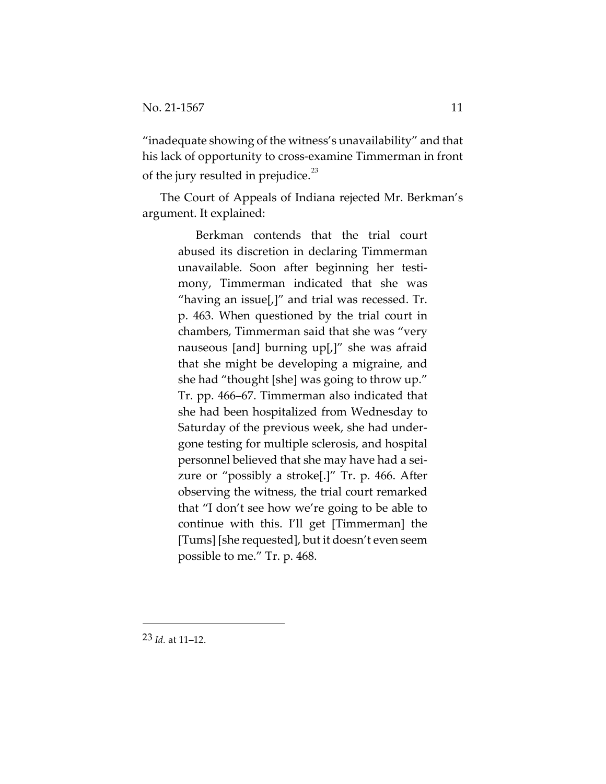"inadequate showing of the witness's unavailability" and that his lack of opportunity to cross-examine Timmerman in front of the jury resulted in prejudice.<sup>[23](#page-10-0)</sup>

The Court of Appeals of Indiana rejected Mr. Berkman's argument. It explained:

> Berkman contends that the trial court abused its discretion in declaring Timmerman unavailable. Soon after beginning her testimony, Timmerman indicated that she was "having an issue $\left[\right]$ " and trial was recessed. Tr. p. 463. When questioned by the trial court in chambers, Timmerman said that she was "very nauseous [and] burning up[,]" she was afraid that she might be developing a migraine, and she had "thought [she] was going to throw up." Tr. pp. 466–67. Timmerman also indicated that she had been hospitalized from Wednesday to Saturday of the previous week, she had undergone testing for multiple sclerosis, and hospital personnel believed that she may have had a seizure or "possibly a stroke[.]" Tr. p. 466. After observing the witness, the trial court remarked that "I don't see how we're going to be able to continue with this. I'll get [Timmerman] the [Tums] [she requested], but it doesn't even seem possible to me." Tr. p. 468.

<span id="page-10-0"></span>23 *Id.* at 11–12.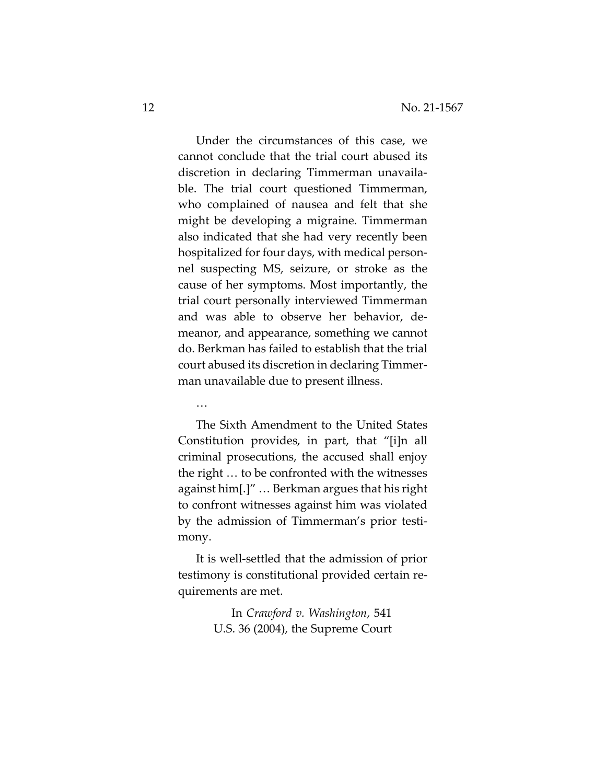Under the circumstances of this case, we cannot conclude that the trial court abused its discretion in declaring Timmerman unavailable. The trial court questioned Timmerman, who complained of nausea and felt that she might be developing a migraine. Timmerman also indicated that she had very recently been hospitalized for four days, with medical personnel suspecting MS, seizure, or stroke as the cause of her symptoms. Most importantly, the trial court personally interviewed Timmerman and was able to observe her behavior, demeanor, and appearance, something we cannot do. Berkman has failed to establish that the trial court abused its discretion in declaring Timmerman unavailable due to present illness.

…

The Sixth Amendment to the United States Constitution provides, in part, that "[i]n all criminal prosecutions, the accused shall enjoy the right … to be confronted with the witnesses against him[.]" … Berkman argues that his right to confront witnesses against him was violated by the admission of Timmerman's prior testimony.

It is well-settled that the admission of prior testimony is constitutional provided certain requirements are met.

> In *Crawford v. Washington*, 541 U.S. 36 (2004), the Supreme Court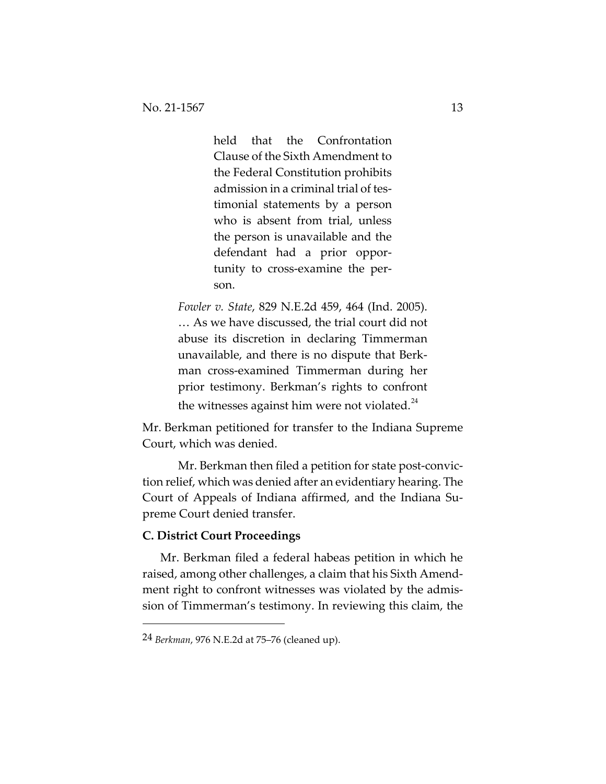held that the Confrontation Clause of the Sixth Amendment to the Federal Constitution prohibits admission in a criminal trial of testimonial statements by a person who is absent from trial, unless the person is unavailable and the defendant had a prior opportunity to cross-examine the person.

*Fowler v. State*, 829 N.E.2d 459, 464 (Ind. 2005). … As we have discussed, the trial court did not abuse its discretion in declaring Timmerman unavailable, and there is no dispute that Berkman cross-examined Timmerman during her prior testimony. Berkman's rights to confront the witnesses against him were not violated. $^{24}$  $^{24}$  $^{24}$ 

Mr. Berkman petitioned for transfer to the Indiana Supreme Court, which was denied.

Mr. Berkman then filed a petition for state post-conviction relief, which was denied after an evidentiary hearing. The Court of Appeals of Indiana affirmed, and the Indiana Supreme Court denied transfer.

## **C. District Court Proceedings**

Mr. Berkman filed a federal habeas petition in which he raised, among other challenges, a claim that his Sixth Amendment right to confront witnesses was violated by the admission of Timmerman's testimony. In reviewing this claim, the

<span id="page-12-0"></span><sup>24</sup> *Berkman*, 976 N.E.2d at 75–76 (cleaned up).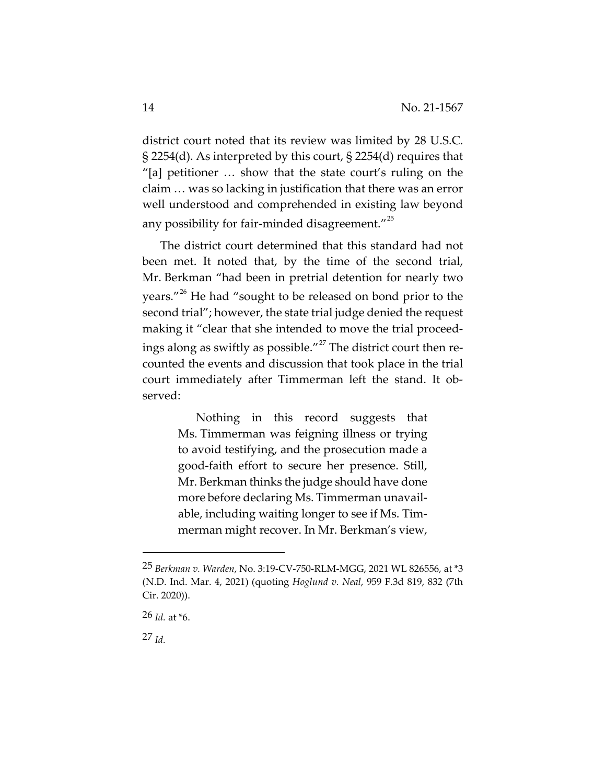district court noted that its review was limited by 28 U.S.C. § 2254(d). As interpreted by this court, § 2254(d) requires that "[a] petitioner … show that the state court's ruling on the claim … was so lacking in justification that there was an error well understood and comprehended in existing law beyond any possibility for fair-minded disagreement. $1^{25}$  $1^{25}$  $1^{25}$ 

The district court determined that this standard had not been met. It noted that, by the time of the second trial, Mr. Berkman "had been in pretrial detention for nearly two years."<sup>[26](#page-13-1)</sup> He had "sought to be released on bond prior to the second trial"; however, the state trial judge denied the request making it "clear that she intended to move the trial proceed-ings along as swiftly as possible."<sup>[27](#page-13-2)</sup> The district court then recounted the events and discussion that took place in the trial court immediately after Timmerman left the stand. It observed:

> Nothing in this record suggests that Ms. Timmerman was feigning illness or trying to avoid testifying, and the prosecution made a good-faith effort to secure her presence. Still, Mr. Berkman thinks the judge should have done more before declaring Ms. Timmerman unavailable, including waiting longer to see if Ms. Timmerman might recover. In Mr. Berkman's view,

<span id="page-13-2"></span>27 *Id.*

<span id="page-13-0"></span><sup>25</sup> *Berkman v. Warden*, No. 3:19-CV-750-RLM-MGG, 2021 WL 826556, at \*3 (N.D. Ind. Mar. 4, 2021) (quoting *Hoglund v. Neal*, 959 F.3d 819, 832 (7th Cir. 2020)).

<span id="page-13-1"></span><sup>26</sup> *Id.* at \*6.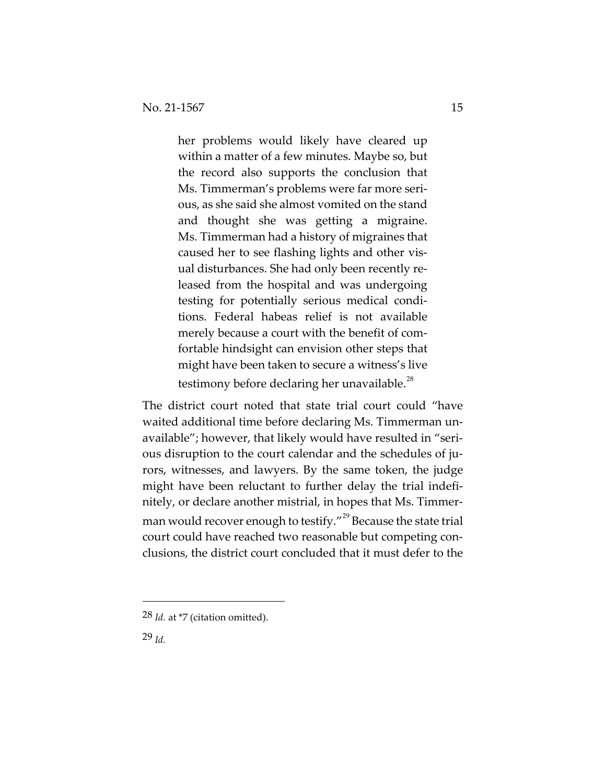her problems would likely have cleared up within a matter of a few minutes. Maybe so, but the record also supports the conclusion that Ms. Timmerman's problems were far more serious, as she said she almost vomited on the stand and thought she was getting a migraine. Ms. Timmerman had a history of migraines that caused her to see flashing lights and other visual disturbances. She had only been recently released from the hospital and was undergoing testing for potentially serious medical conditions. Federal habeas relief is not available merely because a court with the benefit of comfortable hindsight can envision other steps that might have been taken to secure a witness's live testimony before declaring her unavailable.<sup>28</sup>

The district court noted that state trial court could "have waited additional time before declaring Ms. Timmerman unavailable"; however, that likely would have resulted in "serious disruption to the court calendar and the schedules of jurors, witnesses, and lawyers. By the same token, the judge might have been reluctant to further delay the trial indefinitely, or declare another mistrial, in hopes that Ms. Timmer-man would recover enough to testify."<sup>[29](#page-14-1)</sup> Because the state trial court could have reached two reasonable but competing conclusions, the district court concluded that it must defer to the

<span id="page-14-0"></span><sup>28</sup> *Id.* at \*7 (citation omitted).

<span id="page-14-1"></span><sup>29</sup> *Id.*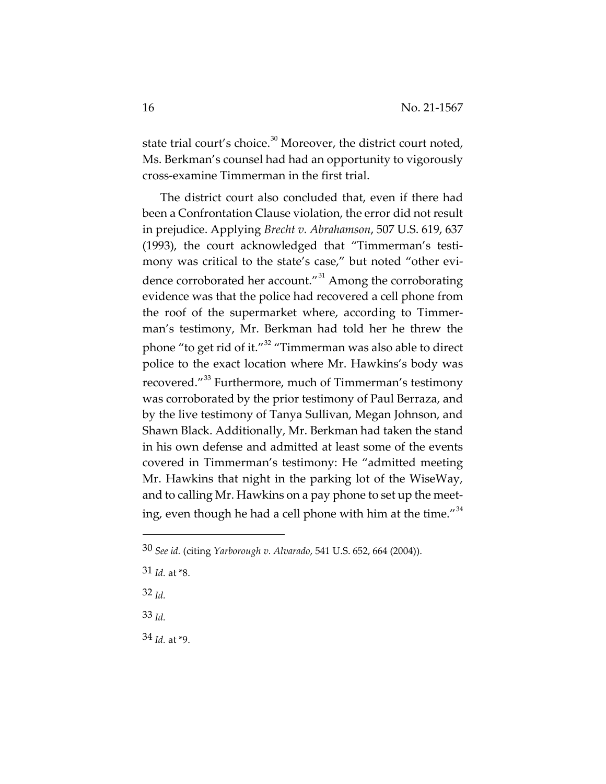state trial court's choice.<sup>[30](#page-15-0)</sup> Moreover, the district court noted, Ms. Berkman's counsel had had an opportunity to vigorously cross-examine Timmerman in the first trial.

The district court also concluded that, even if there had been a Confrontation Clause violation, the error did not result in prejudice. Applying *Brecht v. Abrahamson*, 507 U.S. 619, 637 (1993), the court acknowledged that "Timmerman's testimony was critical to the state's case," but noted "other evi-dence corroborated her account."<sup>[31](#page-15-1)</sup> Among the corroborating evidence was that the police had recovered a cell phone from the roof of the supermarket where, according to Timmerman's testimony, Mr. Berkman had told her he threw the phone "to get rid of it."[32](#page-15-2) "Timmerman was also able to direct police to the exact location where Mr. Hawkins's body was recovered."[33](#page-15-3) Furthermore, much of Timmerman's testimony was corroborated by the prior testimony of Paul Berraza, and by the live testimony of Tanya Sullivan, Megan Johnson, and Shawn Black. Additionally, Mr. Berkman had taken the stand in his own defense and admitted at least some of the events covered in Timmerman's testimony: He "admitted meeting Mr. Hawkins that night in the parking lot of the WiseWay, and to calling Mr. Hawkins on a pay phone to set up the meeting, even though he had a cell phone with him at the time." $34$ 

<span id="page-15-2"></span>32 *Id.*

<span id="page-15-3"></span>33 *Id.*

<span id="page-15-4"></span>34 *Id.* at \*9.

<span id="page-15-0"></span><sup>30</sup> *See id.* (citing *Yarborough v. Alvarado*, 541 U.S. 652, 664 (2004)).

<span id="page-15-1"></span><sup>31</sup> *Id.* at \*8.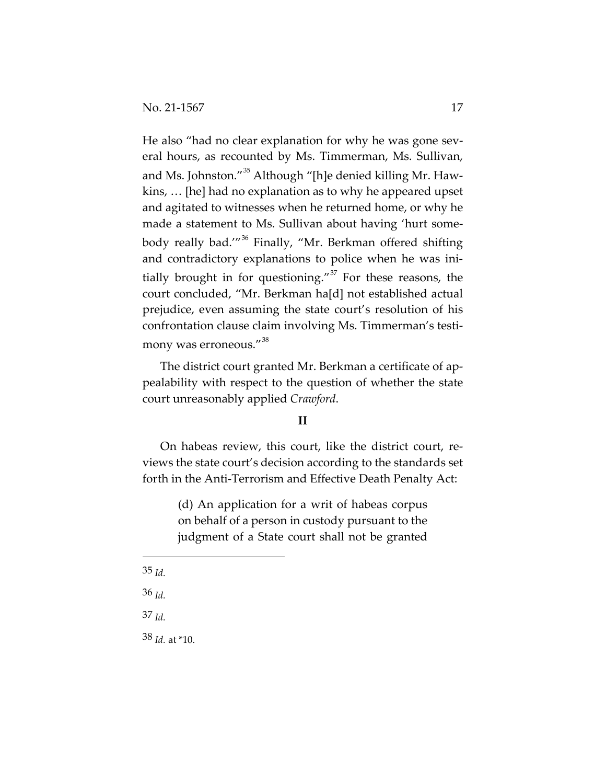He also "had no clear explanation for why he was gone several hours, as recounted by Ms. Timmerman, Ms. Sullivan, and Ms. Johnston."<sup>[35](#page-16-0)</sup> Although "[h]e denied killing Mr. Hawkins, … [he] had no explanation as to why he appeared upset and agitated to witnesses when he returned home, or why he made a statement to Ms. Sullivan about having 'hurt some-body really bad.'"<sup>[36](#page-16-1)</sup> Finally, "Mr. Berkman offered shifting and contradictory explanations to police when he was initially brought in for questioning." $37$  For these reasons, the court concluded, "Mr. Berkman ha[d] not established actual prejudice, even assuming the state court's resolution of his confrontation clause claim involving Ms. Timmerman's testimony was erroneous."[38](#page-16-3) 

The district court granted Mr. Berkman a certificate of appealability with respect to the question of whether the state court unreasonably applied *Crawford*.

## **II**

On habeas review, this court, like the district court, reviews the state court's decision according to the standards set forth in the Anti-Terrorism and Effective Death Penalty Act:

> (d) An application for a writ of habeas corpus on behalf of a person in custody pursuant to the judgment of a State court shall not be granted

- <span id="page-16-0"></span>35 *Id.*
- <span id="page-16-1"></span>36 *Id.*

<span id="page-16-2"></span>37 *Id.*

<span id="page-16-3"></span>38 *Id.* at \*10.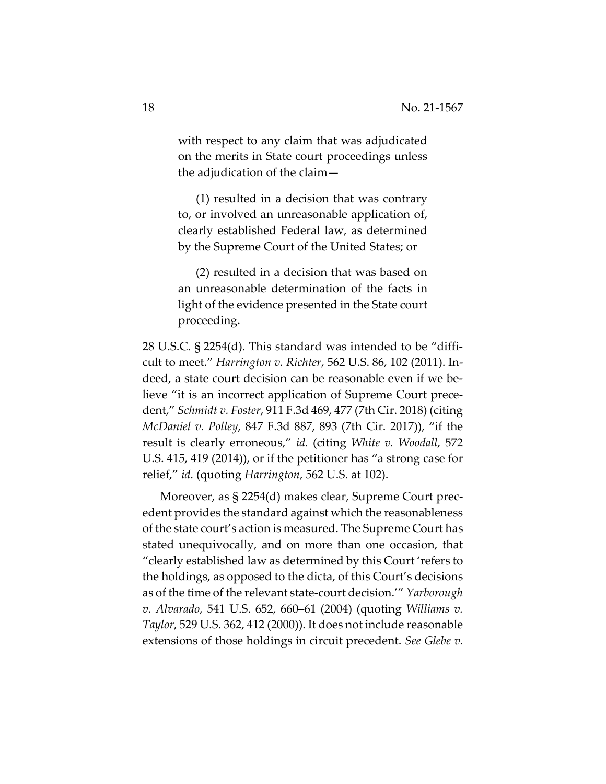with respect to any claim that was adjudicated on the merits in State court proceedings unless the adjudication of the claim—

(1) resulted in a decision that was contrary to, or involved an unreasonable application of, clearly established Federal law, as determined by the Supreme Court of the United States; or

(2) resulted in a decision that was based on an unreasonable determination of the facts in light of the evidence presented in the State court proceeding.

28 U.S.C. § 2254(d). This standard was intended to be "difficult to meet." *Harrington v. Richter*, 562 U.S. 86, 102 (2011). Indeed, a state court decision can be reasonable even if we believe "it is an incorrect application of Supreme Court precedent," *Schmidt v. Foster*, 911 F.3d 469, 477 (7th Cir. 2018) (citing *McDaniel v. Polley*, 847 F.3d 887, 893 (7th Cir. 2017)), "if the result is clearly erroneous," *id.* (citing *White v. Woodall*, 572 U.S. 415, 419 (2014)), or if the petitioner has "a strong case for relief," *id.* (quoting *Harrington*, 562 U.S. at 102).

Moreover, as § 2254(d) makes clear, Supreme Court precedent provides the standard against which the reasonableness of the state court's action is measured. The Supreme Court has stated unequivocally, and on more than one occasion, that "clearly established law as determined by this Court 'refers to the holdings, as opposed to the dicta, of this Court's decisions as of the time of the relevant state-court decision.'" *Yarborough v. Alvarado*, 541 U.S. 652, 660–61 (2004) (quoting *Williams v. Taylor*, 529 U.S. 362, 412 (2000)). It does not include reasonable extensions of those holdings in circuit precedent. *See Glebe v.*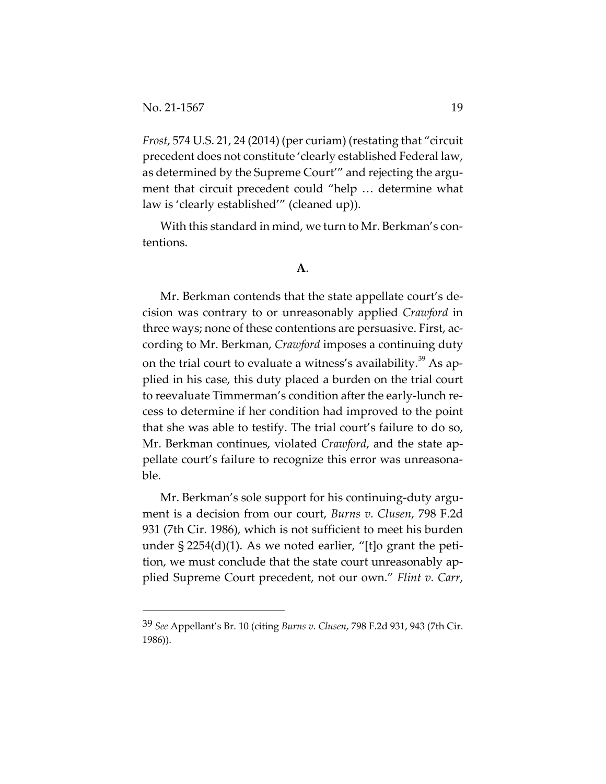*Frost*, 574 U.S. 21, 24 (2014) (per curiam) (restating that "circuit precedent does not constitute 'clearly established Federal law, as determined by the Supreme Court'" and rejecting the argument that circuit precedent could "help … determine what law is 'clearly established'" (cleaned up)).

With this standard in mind, we turn to Mr. Berkman's contentions.

### **A**.

Mr. Berkman contends that the state appellate court's decision was contrary to or unreasonably applied *Crawford* in three ways; none of these contentions are persuasive. First, according to Mr. Berkman, *Crawford* imposes a continuing duty on the trial court to evaluate a witness's availability.<sup>[39](#page-18-0)</sup> As applied in his case, this duty placed a burden on the trial court to reevaluate Timmerman's condition after the early-lunch recess to determine if her condition had improved to the point that she was able to testify. The trial court's failure to do so, Mr. Berkman continues, violated *Crawford*, and the state appellate court's failure to recognize this error was unreasonable.

Mr. Berkman's sole support for his continuing-duty argument is a decision from our court, *Burns v. Clusen*, 798 F.2d 931 (7th Cir. 1986), which is not sufficient to meet his burden under § 2254(d)(1). As we noted earlier, "[t]o grant the petition, we must conclude that the state court unreasonably applied Supreme Court precedent, not our own." *Flint v. Carr*,

<span id="page-18-0"></span><sup>39</sup> *See* Appellant's Br. 10 (citing *Burns v. Clusen*, 798 F.2d 931, 943 (7th Cir. 1986)).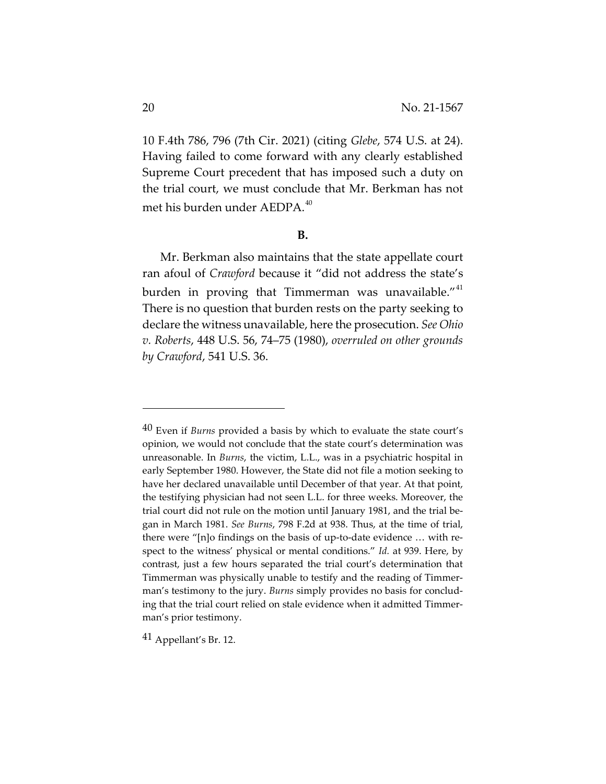10 F.4th 786, 796 (7th Cir. 2021) (citing *Glebe*, 574 U.S. at 24). Having failed to come forward with any clearly established Supreme Court precedent that has imposed such a duty on the trial court, we must conclude that Mr. Berkman has not met his burden under AEDPA.<sup>[40](#page-19-0)</sup>

### **B.**

Mr. Berkman also maintains that the state appellate court ran afoul of *Crawford* because it "did not address the state's burden in proving that Timmerman was unavailable."<sup>[41](#page-19-1)</sup> There is no question that burden rests on the party seeking to declare the witness unavailable, here the prosecution. *See Ohio v. Roberts*, 448 U.S. 56, 74–75 (1980), *overruled on other grounds by Crawford*, 541 U.S. 36.

<span id="page-19-1"></span>41 Appellant's Br. 12.

<span id="page-19-0"></span><sup>40</sup> Even if *Burns* provided a basis by which to evaluate the state court's opinion, we would not conclude that the state court's determination was unreasonable. In *Burns*, the victim, L.L., was in a psychiatric hospital in early September 1980. However, the State did not file a motion seeking to have her declared unavailable until December of that year. At that point, the testifying physician had not seen L.L. for three weeks. Moreover, the trial court did not rule on the motion until January 1981, and the trial began in March 1981. *See Burns*, 798 F.2d at 938. Thus, at the time of trial, there were "[n]o findings on the basis of up-to-date evidence … with respect to the witness' physical or mental conditions." *Id.* at 939. Here, by contrast, just a few hours separated the trial court's determination that Timmerman was physically unable to testify and the reading of Timmerman's testimony to the jury. *Burns* simply provides no basis for concluding that the trial court relied on stale evidence when it admitted Timmerman's prior testimony.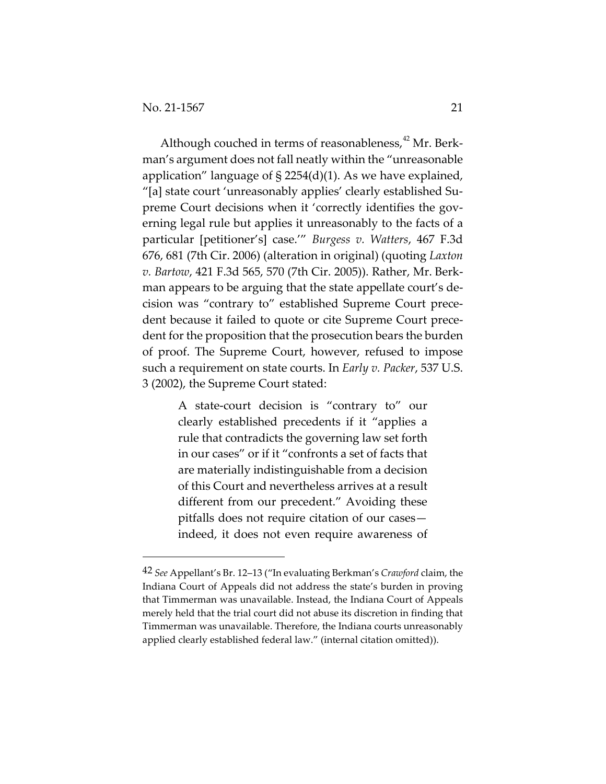Although couched in terms of reasonableness,<sup>[42](#page-20-0)</sup> Mr. Berkman's argument does not fall neatly within the "unreasonable application" language of § 2254(d)(1). As we have explained, "[a] state court 'unreasonably applies' clearly established Supreme Court decisions when it 'correctly identifies the governing legal rule but applies it unreasonably to the facts of a particular [petitioner's] case.'" *Burgess v. Watters*, 467 F.3d 676, 681 (7th Cir. 2006) (alteration in original) (quoting *Laxton v. Bartow*, 421 F.3d 565, 570 (7th Cir. 2005)). Rather, Mr. Berkman appears to be arguing that the state appellate court's decision was "contrary to" established Supreme Court precedent because it failed to quote or cite Supreme Court precedent for the proposition that the prosecution bears the burden of proof. The Supreme Court, however, refused to impose such a requirement on state courts. In *Early v. Packer*, 537 U.S. 3 (2002), the Supreme Court stated:

> A state-court decision is "contrary to" our clearly established precedents if it "applies a rule that contradicts the governing law set forth in our cases" or if it "confronts a set of facts that are materially indistinguishable from a decision of this Court and nevertheless arrives at a result different from our precedent." Avoiding these pitfalls does not require citation of our cases indeed, it does not even require awareness of

<span id="page-20-0"></span><sup>42</sup> *See* Appellant's Br. 12–13 ("In evaluating Berkman's *Crawford* claim, the Indiana Court of Appeals did not address the state's burden in proving that Timmerman was unavailable. Instead, the Indiana Court of Appeals merely held that the trial court did not abuse its discretion in finding that Timmerman was unavailable. Therefore, the Indiana courts unreasonably applied clearly established federal law." (internal citation omitted)).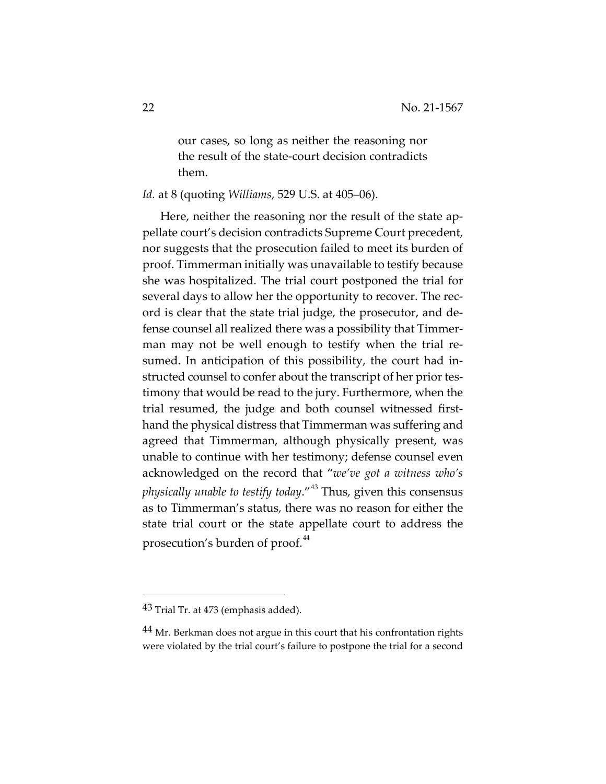our cases, so long as neither the reasoning nor the result of the state-court decision contradicts them.

*Id.* at 8 (quoting *Williams*, 529 U.S. at 405–06).

Here, neither the reasoning nor the result of the state appellate court's decision contradicts Supreme Court precedent, nor suggests that the prosecution failed to meet its burden of proof. Timmerman initially was unavailable to testify because she was hospitalized. The trial court postponed the trial for several days to allow her the opportunity to recover. The record is clear that the state trial judge, the prosecutor, and defense counsel all realized there was a possibility that Timmerman may not be well enough to testify when the trial resumed. In anticipation of this possibility, the court had instructed counsel to confer about the transcript of her prior testimony that would be read to the jury. Furthermore, when the trial resumed, the judge and both counsel witnessed firsthand the physical distress that Timmerman was suffering and agreed that Timmerman, although physically present, was unable to continue with her testimony; defense counsel even acknowledged on the record that "*we've got a witness who's physically unable to testify today*."[43](#page-21-0) Thus, given this consensus as to Timmerman's status, there was no reason for either the state trial court or the state appellate court to address the prosecution's burden of proof.<sup>[44](#page-21-1)</sup>

<span id="page-21-0"></span><sup>43</sup> Trial Tr. at 473 (emphasis added).

<span id="page-21-1"></span><sup>&</sup>lt;sup>44</sup> Mr. Berkman does not argue in this court that his confrontation rights were violated by the trial court's failure to postpone the trial for a second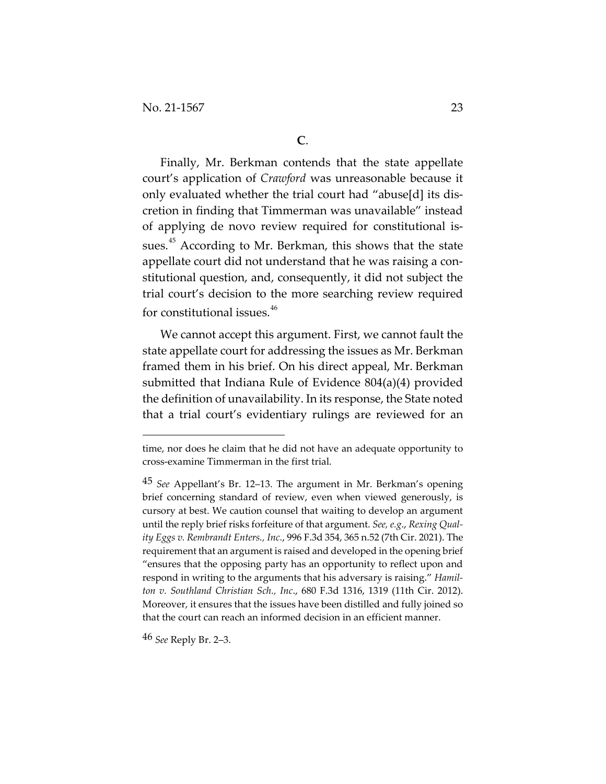Finally, Mr. Berkman contends that the state appellate court's application of *Crawford* was unreasonable because it only evaluated whether the trial court had "abuse[d] its discretion in finding that Timmerman was unavailable" instead of applying de novo review required for constitutional is-sues.<sup>[45](#page-22-0)</sup> According to Mr. Berkman, this shows that the state appellate court did not understand that he was raising a constitutional question, and, consequently, it did not subject the trial court's decision to the more searching review required for constitutional issues.<sup>[46](#page-22-1)</sup>

We cannot accept this argument. First, we cannot fault the state appellate court for addressing the issues as Mr. Berkman framed them in his brief. On his direct appeal, Mr. Berkman submitted that Indiana Rule of Evidence 804(a)(4) provided the definition of unavailability. In its response, the State noted that a trial court's evidentiary rulings are reviewed for an

<span id="page-22-1"></span>46 *See* Reply Br. 2–3.

time, nor does he claim that he did not have an adequate opportunity to cross-examine Timmerman in the first trial.

<span id="page-22-0"></span><sup>45</sup> *See* Appellant's Br. 12–13. The argument in Mr. Berkman's opening brief concerning standard of review, even when viewed generously, is cursory at best. We caution counsel that waiting to develop an argument until the reply brief risks forfeiture of that argument. *See, e.g*., *Rexing Quality Eggs v. Rembrandt Enters., Inc.*, 996 F.3d 354, 365 n.52 (7th Cir. 2021). The requirement that an argument is raised and developed in the opening brief "ensures that the opposing party has an opportunity to reflect upon and respond in writing to the arguments that his adversary is raising." *Hamilton v. Southland Christian Sch., Inc*., 680 F.3d 1316, 1319 (11th Cir. 2012). Moreover, it ensures that the issues have been distilled and fully joined so that the court can reach an informed decision in an efficient manner.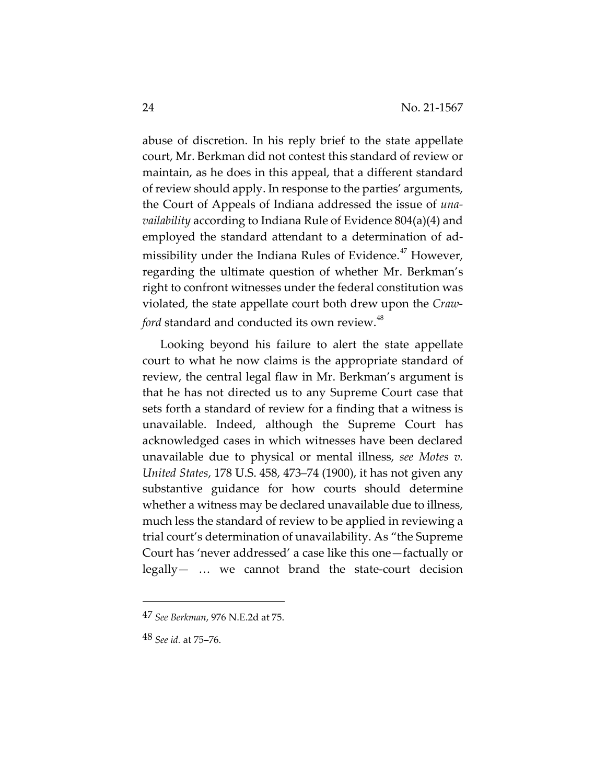abuse of discretion. In his reply brief to the state appellate court, Mr. Berkman did not contest this standard of review or maintain, as he does in this appeal, that a different standard of review should apply. In response to the parties' arguments, the Court of Appeals of Indiana addressed the issue of *unavailability* according to Indiana Rule of Evidence 804(a)(4) and employed the standard attendant to a determination of ad-missibility under the Indiana Rules of Evidence.<sup>[47](#page-23-0)</sup> However, regarding the ultimate question of whether Mr. Berkman's right to confront witnesses under the federal constitution was violated, the state appellate court both drew upon the *Crawford* standard and conducted its own review.<sup>[48](#page-23-1)</sup>

Looking beyond his failure to alert the state appellate court to what he now claims is the appropriate standard of review, the central legal flaw in Mr. Berkman's argument is that he has not directed us to any Supreme Court case that sets forth a standard of review for a finding that a witness is unavailable. Indeed, although the Supreme Court has acknowledged cases in which witnesses have been declared unavailable due to physical or mental illness, *see Motes v. United States*, 178 U.S. 458, 473–74 (1900), it has not given any substantive guidance for how courts should determine whether a witness may be declared unavailable due to illness, much less the standard of review to be applied in reviewing a trial court's determination of unavailability. As "the Supreme Court has 'never addressed' a case like this one—factually or legally— … we cannot brand the state-court decision

<span id="page-23-0"></span><sup>47</sup> *See Berkman*, 976 N.E.2d at 75.

<span id="page-23-1"></span><sup>48</sup> *See id.* at 75–76.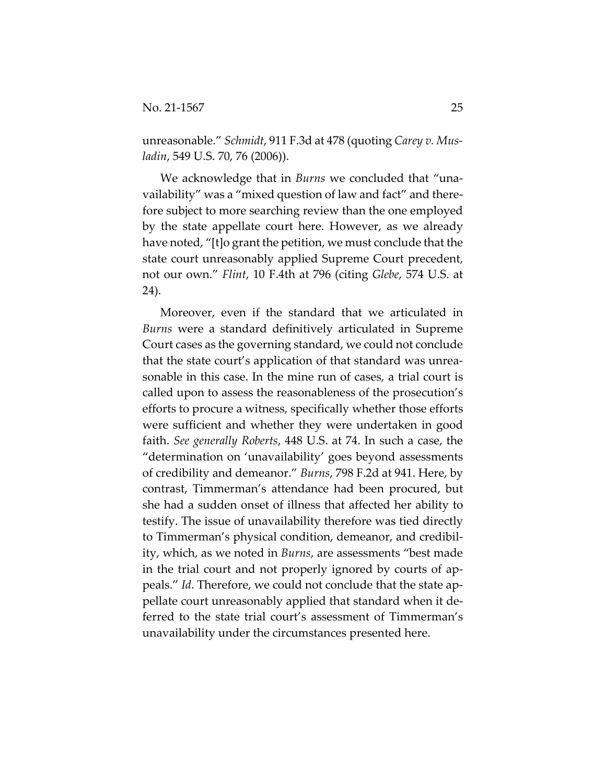unreasonable." *Schmidt*, 911 F.3d at 478 (quoting *Carey v. Musladin*, 549 U.S. 70, 76 (2006)).

We acknowledge that in *Burns* we concluded that "unavailability" was a "mixed question of law and fact" and therefore subject to more searching review than the one employed by the state appellate court here. However, as we already have noted, "[t]o grant the petition, we must conclude that the state court unreasonably applied Supreme Court precedent, not our own." *Flint*, 10 F.4th at 796 (citing *Glebe*, 574 U.S. at 24).

Moreover, even if the standard that we articulated in *Burns* were a standard definitively articulated in Supreme Court cases as the governing standard, we could not conclude that the state court's application of that standard was unreasonable in this case. In the mine run of cases, a trial court is called upon to assess the reasonableness of the prosecution's efforts to procure a witness, specifically whether those efforts were sufficient and whether they were undertaken in good faith. *See generally Roberts*, 448 U.S. at 74. In such a case, the "determination on 'unavailability' goes beyond assessments of credibility and demeanor." *Burns*, 798 F.2d at 941. Here, by contrast, Timmerman's attendance had been procured, but she had a sudden onset of illness that affected her ability to testify. The issue of unavailability therefore was tied directly to Timmerman's physical condition, demeanor, and credibility, which, as we noted in *Burns*, are assessments "best made in the trial court and not properly ignored by courts of appeals." *Id*. Therefore, we could not conclude that the state appellate court unreasonably applied that standard when it deferred to the state trial court's assessment of Timmerman's unavailability under the circumstances presented here.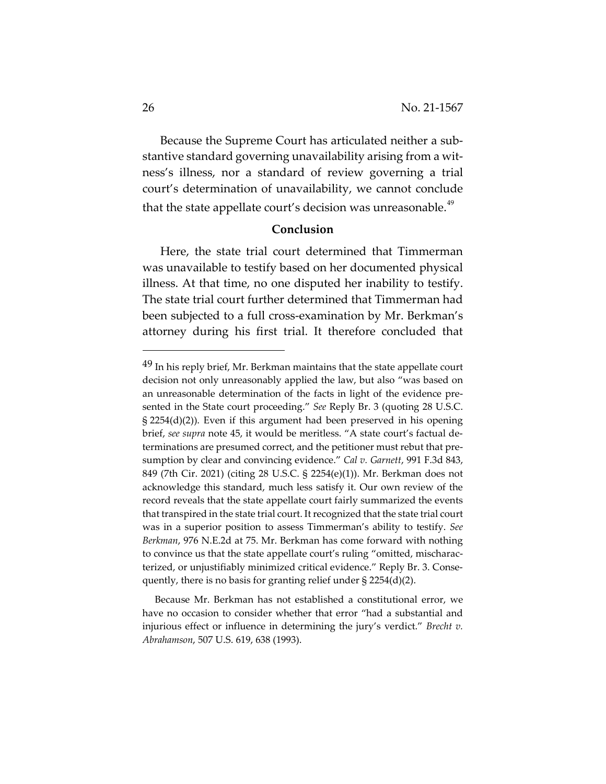Because the Supreme Court has articulated neither a substantive standard governing unavailability arising from a witness's illness, nor a standard of review governing a trial court's determination of unavailability, we cannot conclude that the state appellate court's decision was unreasonable.<sup>[49](#page-25-0)</sup>

## **Conclusion**

Here, the state trial court determined that Timmerman was unavailable to testify based on her documented physical illness. At that time, no one disputed her inability to testify. The state trial court further determined that Timmerman had been subjected to a full cross-examination by Mr. Berkman's attorney during his first trial. It therefore concluded that

 Because Mr. Berkman has not established a constitutional error, we have no occasion to consider whether that error "had a substantial and injurious effect or influence in determining the jury's verdict." *Brecht v. Abrahamson*, 507 U.S. 619, 638 (1993).

<span id="page-25-0"></span><sup>&</sup>lt;sup>49</sup> In his reply brief, Mr. Berkman maintains that the state appellate court decision not only unreasonably applied the law, but also "was based on an unreasonable determination of the facts in light of the evidence presented in the State court proceeding." *See* Reply Br. 3 (quoting 28 U.S.C. § 2254(d)(2)). Even if this argument had been preserved in his opening brief, *see supra* note 45, it would be meritless. "A state court's factual determinations are presumed correct, and the petitioner must rebut that presumption by clear and convincing evidence." *Cal v. Garnett*, 991 F.3d 843, 849 (7th Cir. 2021) (citing 28 U.S.C. § 2254(e)(1)). Mr. Berkman does not acknowledge this standard, much less satisfy it. Our own review of the record reveals that the state appellate court fairly summarized the events that transpired in the state trial court. It recognized that the state trial court was in a superior position to assess Timmerman's ability to testify. *See Berkman*, 976 N.E.2d at 75. Mr. Berkman has come forward with nothing to convince us that the state appellate court's ruling "omitted, mischaracterized, or unjustifiably minimized critical evidence." Reply Br. 3. Consequently, there is no basis for granting relief under § 2254(d)(2).